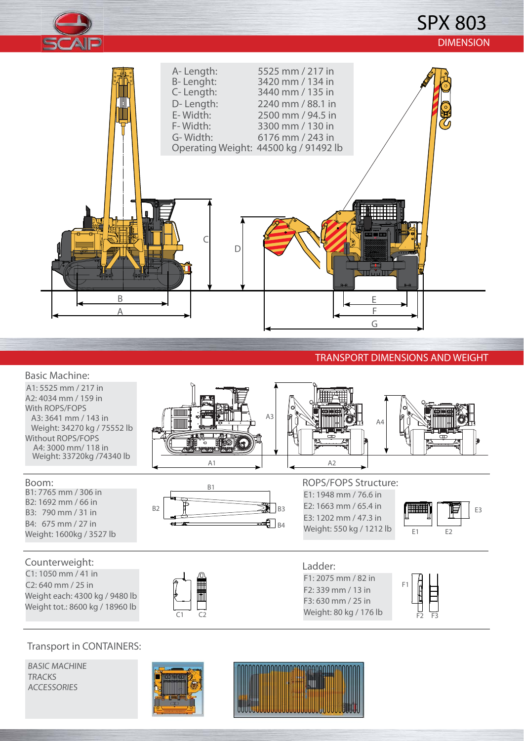

## SPX 803 DIMENSION



### TRANSPORT DIMENSIONS AND WEIGHT

 $F2$   $F3$ 

#### Basic Machine: A1: 5525 mm / 217 in A2: 4034 mm / 159 in With ROPS/FOPS A3: 3641 mm / 143 in A3 A4Weight: 34270 kg / 75552 lb Without ROPS/FOPS A4: 3000 mm/ 118 in Weight: 33720kg /74340 lb A2 A1 Boom: ROPS/FOPS Structure: B1 B1: 7765 mm / 306 in E1: 1948 mm / 76.6 in B2: 1692 mm / 66 in  $B2$   $B3$ E2: 1663 mm / 65.4 in E3 B3: 790 mm / 31 in E3: 1202 mm / 47.3 in B4: 675 mm / 27 in  $\Box$ B4 Weight: 550 kg / 1212 lb Weight: 1600kg / 3527 lb E1 E2 Counterweight: Ladder: C1: 1050 mm / 41 in F1: 2075 mm / 82 in C2: 640 mm / 25 in **The control** F1 F2: 339 mm / 13 in Weight each: 4300 kg / 9480 lb F3: 630 mm / 25 in Weight tot.: 8600 kg / 18960 lb Weight: 80 kg / 176 lb

### Transport in CONTAINERS:

BASIC MACHINE **TRACKS** ACCESSORIES



C1 C2